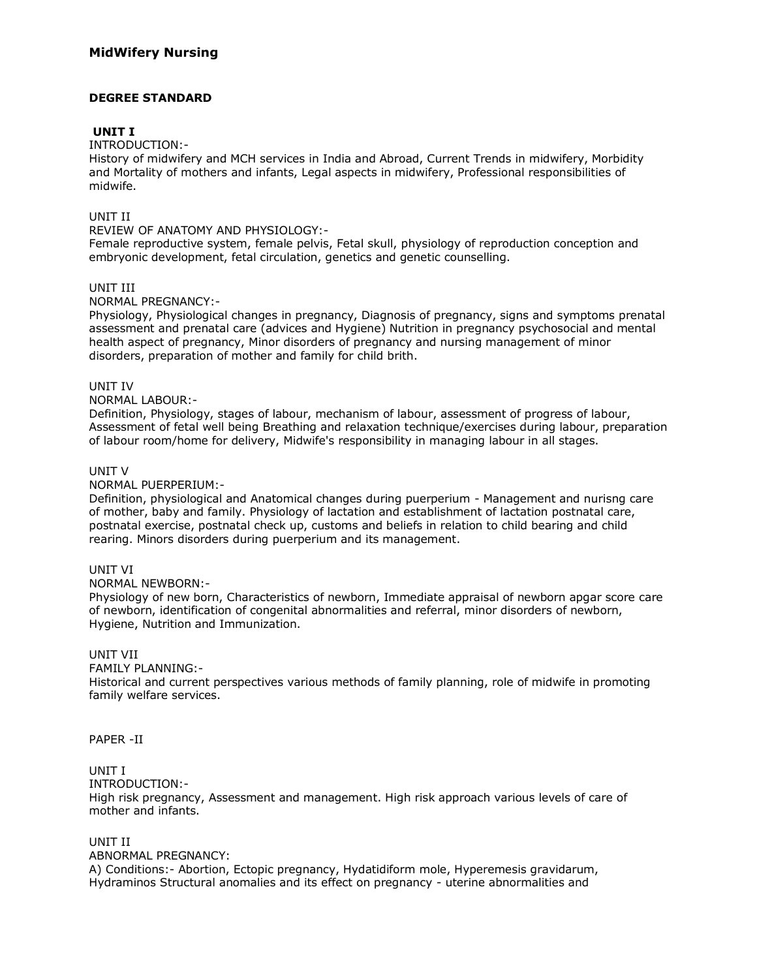### **DEGREE STANDARD**

### **UNIT I**

INTRODUCTION:-

History of midwifery and MCH services in India and Abroad, Current Trends in midwifery, Morbidity and Mortality of mothers and infants, Legal aspects in midwifery, Professional responsibilities of midwife.

#### UNIT II

REVIEW OF ANATOMY AND PHYSIOLOGY:-

Female reproductive system, female pelvis, Fetal skull, physiology of reproduction conception and embryonic development, fetal circulation, genetics and genetic counselling.

### UNIT III

NORMAL PREGNANCY:-

Physiology, Physiological changes in pregnancy, Diagnosis of pregnancy, signs and symptoms prenatal assessment and prenatal care (advices and Hygiene) Nutrition in pregnancy psychosocial and mental health aspect of pregnancy, Minor disorders of pregnancy and nursing management of minor disorders, preparation of mother and family for child brith.

### UNIT IV

NORMAL LABOUR:-

Definition, Physiology, stages of labour, mechanism of labour, assessment of progress of labour, Assessment of fetal well being Breathing and relaxation technique/exercises during labour, preparation of labour room/home for delivery, Midwife's responsibility in managing labour in all stages.

### UNIT V

NORMAL PUERPERIUM:-

Definition, physiological and Anatomical changes during puerperium - Management and nurisng care of mother, baby and family. Physiology of lactation and establishment of lactation postnatal care, postnatal exercise, postnatal check up, customs and beliefs in relation to child bearing and child rearing. Minors disorders during puerperium and its management.

### UNIT VI

#### NORMAL NEWBORN:-

Physiology of new born, Characteristics of newborn, Immediate appraisal of newborn apgar score care of newborn, identification of congenital abnormalities and referral, minor disorders of newborn, Hygiene, Nutrition and Immunization.

### UNIT VII

FAMILY PLANNING:-

Historical and current perspectives various methods of family planning, role of midwife in promoting family welfare services.

#### PAPER -II

### UNIT I

INTRODUCTION:-

High risk pregnancy, Assessment and management. High risk approach various levels of care of mother and infants.

# UNIT II

ABNORMAL PREGNANCY: A) Conditions:- Abortion, Ectopic pregnancy, Hydatidiform mole, Hyperemesis gravidarum, Hydraminos Structural anomalies and its effect on pregnancy - uterine abnormalities and